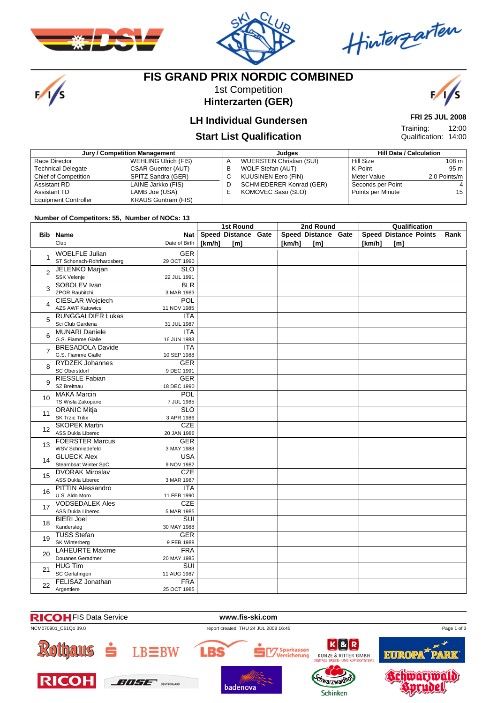

 $\frac{1}{s}$ 



Hinterzarten

# **FIS GRAND PRIX NORDIC COMBINED**

1st Competition **Hinterzarten (GER)**



12:00

**FRI 25 JUL 2008**

Qualification: 14:00

Training:

### **LH Individual Gundersen**

### **Start List Qualification**

| Jury / Competition Management |                             |   | Judaes                          | <b>Hill Data / Calculation</b> |              |  |
|-------------------------------|-----------------------------|---|---------------------------------|--------------------------------|--------------|--|
| Race Director                 | <b>WEHLING Ulrich (FIS)</b> | A | <b>WUERSTEN Christian (SUI)</b> | Hill Size                      | 108 m        |  |
| <b>Technical Delegate</b>     | <b>CSAR Guenter (AUT)</b>   | в | WOLF Stefan (AUT)               | K-Point                        | 95 m         |  |
| <b>Chief of Competition</b>   | SPITZ Sandra (GER)          | C | <b>KUUSINEN Eero (FIN)</b>      | Meter Value                    | 2.0 Points/m |  |
| Assistant RD                  | LAINE Jarkko (FIS)          | D | <b>SCHMIEDERER Konrad (GER)</b> | Seconds per Point              |              |  |
| <b>Assistant TD</b>           | LAMB Joe (USA)              |   | KOMOVEC Saso (SLO)              | Points per Minute              | 15           |  |
| <b>Equipment Controller</b>   | <b>KRAUS Guntram (FIS)</b>  |   |                                 |                                |              |  |

**Number of Competitors: 55, Number of NOCs: 13**

|                   |                                                   |                           | <b>1st Round</b>    |  | 2nd Round |                     |  | Qualification |                              |      |  |
|-------------------|---------------------------------------------------|---------------------------|---------------------|--|-----------|---------------------|--|---------------|------------------------------|------|--|
|                   | <b>Bib Name</b>                                   | Nat                       | Speed Distance Gate |  |           | Speed Distance Gate |  |               | <b>Speed Distance Points</b> | Rank |  |
|                   | Club                                              | Date of Birth             | [km/h]<br>[m]       |  | [km/h]    | $\mathsf{[m]}$      |  | [km/h]        | $\mathsf{[m]}$               |      |  |
|                   | <b>WOELFLE Julian</b>                             | <b>GER</b>                |                     |  |           |                     |  |               |                              |      |  |
| 1                 | ST Schonach-Rohrhardsberg                         | 29 OCT 1990               |                     |  |           |                     |  |               |                              |      |  |
| $\overline{2}$    | <b>JELENKO Marjan</b>                             | $\overline{\text{SLO}}$   |                     |  |           |                     |  |               |                              |      |  |
|                   | <b>SSK Velenje</b>                                | 22 JUL 1991               |                     |  |           |                     |  |               |                              |      |  |
| 3                 | SOBOLEV Ivan                                      | <b>BLR</b>                |                     |  |           |                     |  |               |                              |      |  |
|                   | <b>ZPOR Raubitchi</b>                             | 3 MAR 1983                |                     |  |           |                     |  |               |                              |      |  |
| 4                 | <b>CIESLAR Wojciech</b>                           | POL                       |                     |  |           |                     |  |               |                              |      |  |
|                   | <b>AZS AWF Katowice</b>                           | 11 NOV 1985               |                     |  |           |                     |  |               |                              |      |  |
| 5                 | <b>RUNGGALDIER Lukas</b><br>Sci Club Gardena      | ITA                       |                     |  |           |                     |  |               |                              |      |  |
|                   | <b>MUNARI Daniele</b>                             | 31 JUL 1987<br><b>ITA</b> |                     |  |           |                     |  |               |                              |      |  |
| 6                 | G.S. Fiamme Gialle                                | 16 JUN 1983               |                     |  |           |                     |  |               |                              |      |  |
|                   | <b>BRESADOLA Davide</b>                           | ITA                       |                     |  |           |                     |  |               |                              |      |  |
| $\overline{7}$    | G.S. Fiamme Gialle                                | 10 SEP 1988               |                     |  |           |                     |  |               |                              |      |  |
|                   | <b>RYDZEK Johannes</b>                            | <b>GER</b>                |                     |  |           |                     |  |               |                              |      |  |
| 8                 | SC Oberstdorf                                     | 9 DEC 1991                |                     |  |           |                     |  |               |                              |      |  |
|                   | <b>RIESSLE Fabian</b>                             | <b>GER</b>                |                     |  |           |                     |  |               |                              |      |  |
| 9                 | SZ Breitnau                                       | 18 DEC 1990               |                     |  |           |                     |  |               |                              |      |  |
| 10                | <b>MAKA Marcin</b>                                | <b>POL</b>                |                     |  |           |                     |  |               |                              |      |  |
|                   | TS Wisla Zakopane                                 | 7 JUL 1985                |                     |  |           |                     |  |               |                              |      |  |
| 11                | <b>ORANIC Mitja</b>                               | <b>SLO</b>                |                     |  |           |                     |  |               |                              |      |  |
|                   | <b>SK Trzic Trifix</b>                            | 3 APR 1986                |                     |  |           |                     |  |               |                              |      |  |
| $12 \overline{ }$ | <b>SKOPEK Martin</b>                              | <b>CZE</b>                |                     |  |           |                     |  |               |                              |      |  |
|                   | <b>ASS Dukla Liberec</b>                          | 20 JAN 1986               |                     |  |           |                     |  |               |                              |      |  |
| 13                | <b>FOERSTER Marcus</b><br><b>WSV Schmiedefeld</b> | <b>GER</b>                |                     |  |           |                     |  |               |                              |      |  |
|                   | <b>GLUECK Alex</b>                                | 3 MAY 1988<br><b>USA</b>  |                     |  |           |                     |  |               |                              |      |  |
| 14                | Steamboat Winter SpC                              | 9 NOV 1982                |                     |  |           |                     |  |               |                              |      |  |
|                   | <b>DVORAK Miroslav</b>                            | CZE                       |                     |  |           |                     |  |               |                              |      |  |
| 15                | ASS Dukla Liberec                                 | 3 MAR 1987                |                     |  |           |                     |  |               |                              |      |  |
|                   | <b>PITTIN Alessandro</b>                          | <b>ITA</b>                |                     |  |           |                     |  |               |                              |      |  |
| 16                | U.S. Aldo Moro                                    | 11 FEB 1990               |                     |  |           |                     |  |               |                              |      |  |
|                   | <b>VODSEDALEK Ales</b>                            | <b>CZE</b>                |                     |  |           |                     |  |               |                              |      |  |
| 17                | ASS Dukla Liberec                                 | 5 MAR 1985                |                     |  |           |                     |  |               |                              |      |  |
| 18                | <b>BIERI Joel</b>                                 | SUI                       |                     |  |           |                     |  |               |                              |      |  |
|                   | Kandersteg                                        | 30 MAY 1988               |                     |  |           |                     |  |               |                              |      |  |
| 19                | <b>TUSS Stefan</b>                                | <b>GER</b>                |                     |  |           |                     |  |               |                              |      |  |
|                   | SK Winterberg                                     | 9 FEB 1988                |                     |  |           |                     |  |               |                              |      |  |
| 20                | <b>LAHEURTE Maxime</b>                            | <b>FRA</b>                |                     |  |           |                     |  |               |                              |      |  |
|                   | Douanes Geradmer                                  | 20 MAY 1985               |                     |  |           |                     |  |               |                              |      |  |
| 21                | <b>HUG Tim</b>                                    | $\overline{\text{SUI}}$   |                     |  |           |                     |  |               |                              |      |  |
|                   | SC Gerlafingen                                    | 11 AUG 1987               |                     |  |           |                     |  |               |                              |      |  |
| 22                | FELISAZ Jonathan                                  | <b>FRA</b><br>25 OCT 1985 |                     |  |           |                     |  |               |                              |      |  |
|                   | Argentiere                                        |                           |                     |  |           |                     |  |               |                              |      |  |

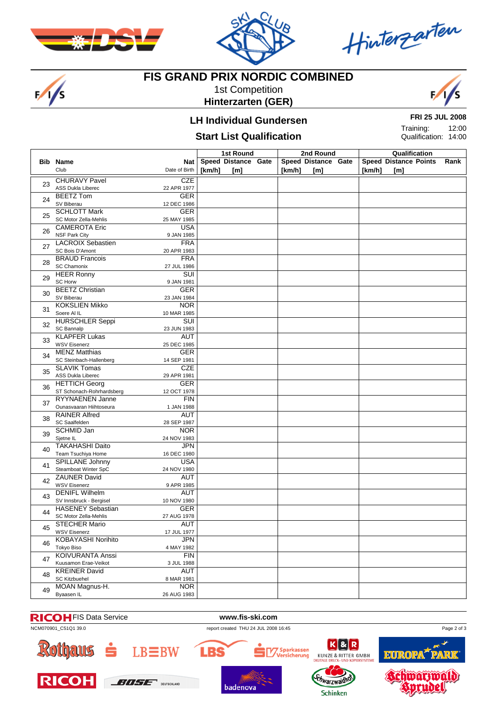

 $\frac{1}{s}$ 



Hinterzarten

# **FIS GRAND PRIX NORDIC COMBINED**

1st Competition **Hinterzarten (GER)**



### **LH Individual Gundersen**

#### **Start List Qualification**

**FRI 25 JUL 2008** 12:00 Training:

Qualification: 14:00

|    |                                                    |                                        | 1st Round |                            |  |        | 2nd Round                  | Qualification |                                     |  |      |
|----|----------------------------------------------------|----------------------------------------|-----------|----------------------------|--|--------|----------------------------|---------------|-------------------------------------|--|------|
|    | <b>Bib Name</b><br>Club                            | Nat<br>Date of Birth                   | [km/h]    | Speed Distance Gate<br>[m] |  | [km/h] | Speed Distance Gate<br>[m] | [km/h]        | <b>Speed Distance Points</b><br>[m] |  | Rank |
| 23 | <b>CHURAVY Pavel</b><br>ASS Dukla Liberec          | <b>CZE</b><br>22 APR 1977              |           |                            |  |        |                            |               |                                     |  |      |
| 24 | <b>BEETZ Tom</b><br>SV Biberau                     | <b>GER</b><br>12 DEC 1986              |           |                            |  |        |                            |               |                                     |  |      |
| 25 | <b>SCHLOTT Mark</b><br>SC Motor Zella-Mehlis       | <b>GER</b><br>25 MAY 1985              |           |                            |  |        |                            |               |                                     |  |      |
| 26 | <b>CAMEROTA Eric</b><br><b>NSF Park City</b>       | <b>USA</b><br>9 JAN 1985               |           |                            |  |        |                            |               |                                     |  |      |
| 27 | <b>LACROIX Sebastien</b><br><b>SC Bois D'Amont</b> | <b>FRA</b><br>20 APR 1983              |           |                            |  |        |                            |               |                                     |  |      |
| 28 | <b>BRAUD Francois</b><br><b>SC Chamonix</b>        | <b>FRA</b><br>27 JUL 1986              |           |                            |  |        |                            |               |                                     |  |      |
| 29 | <b>HEER Ronny</b><br>SC Horw                       | <b>SUI</b><br>9 JAN 1981               |           |                            |  |        |                            |               |                                     |  |      |
| 30 | <b>BEETZ Christian</b><br>SV Biberau               | <b>GER</b><br>23 JAN 1984              |           |                            |  |        |                            |               |                                     |  |      |
| 31 | <b>KOKSLIEN Mikko</b><br>Soere Al IL               | <b>NOR</b><br>10 MAR 1985              |           |                            |  |        |                            |               |                                     |  |      |
| 32 | <b>HURSCHLER Seppi</b><br>SC Bannalp               | $\overline{\text{SUI}}$<br>23 JUN 1983 |           |                            |  |        |                            |               |                                     |  |      |
| 33 | <b>KLAPFER Lukas</b><br><b>WSV Eisenerz</b>        | AUT<br>25 DEC 1985                     |           |                            |  |        |                            |               |                                     |  |      |
| 34 | <b>MENZ Matthias</b><br>SC Steinbach-Hallenberg    | GER<br>14 SEP 1981                     |           |                            |  |        |                            |               |                                     |  |      |
| 35 | <b>SLAVIK Tomas</b><br>ASS Dukla Liberec           | <b>CZE</b><br>29 APR 1981              |           |                            |  |        |                            |               |                                     |  |      |
| 36 | <b>HETTICH Georg</b><br>ST Schonach-Rohrhardsberg  | GER<br>12 OCT 1978                     |           |                            |  |        |                            |               |                                     |  |      |
| 37 | RYYNAENEN Janne<br>Ounasvaaran Hiihtoseura         | <b>FIN</b><br>1 JAN 1988               |           |                            |  |        |                            |               |                                     |  |      |
| 38 | <b>RAINER Alfred</b><br>SC Saalfelden              | AUT<br>28 SEP 1987                     |           |                            |  |        |                            |               |                                     |  |      |
| 39 | <b>SCHMID Jan</b><br>Sjetne IL                     | <b>NOR</b><br>24 NOV 1983              |           |                            |  |        |                            |               |                                     |  |      |
| 40 | <b>TAKAHASHI Daito</b><br>Team Tsuchiya Home       | <b>JPN</b><br>16 DEC 1980              |           |                            |  |        |                            |               |                                     |  |      |
| 41 | SPILLANE Johnny<br>Steamboat Winter SpC            | <b>USA</b><br>24 NOV 1980              |           |                            |  |        |                            |               |                                     |  |      |
| 42 | <b>ZAUNER David</b><br><b>WSV Eisenerz</b>         | AUT<br>9 APR 1985                      |           |                            |  |        |                            |               |                                     |  |      |
| 43 | <b>DENIFL Wilhelm</b><br>SV Innsbruck - Bergisel   | AUT<br>10 NOV 1980                     |           |                            |  |        |                            |               |                                     |  |      |
| 44 | <b>HASENEY Sebastian</b><br>SC Motor Zella-Mehlis  | <b>GER</b><br>27 AUG 1978              |           |                            |  |        |                            |               |                                     |  |      |
| 45 | <b>STECHER Mario</b><br><b>WSV Eisenerz</b>        | <b>AUT</b><br>17 JUL 1977              |           |                            |  |        |                            |               |                                     |  |      |
| 46 | KOBAYASHI Norihito<br>Tokyo Biso                   | <b>JPN</b><br>4 MAY 1982               |           |                            |  |        |                            |               |                                     |  |      |
| 47 | <b>KOIVURANTA Anssi</b><br>Kuusamon Erae-Veikot    | <b>FIN</b><br>3 JUL 1988               |           |                            |  |        |                            |               |                                     |  |      |
| 48 | <b>KREINER David</b><br><b>SC Kitzbuehel</b>       | <b>AUT</b><br>8 MAR 1981               |           |                            |  |        |                            |               |                                     |  |      |
| 49 | MOAN Magnus-H.<br>Byaasen IL                       | <b>NOR</b><br>26 AUG 1983              |           |                            |  |        |                            |               |                                     |  |      |



**Schinken** 

badenova